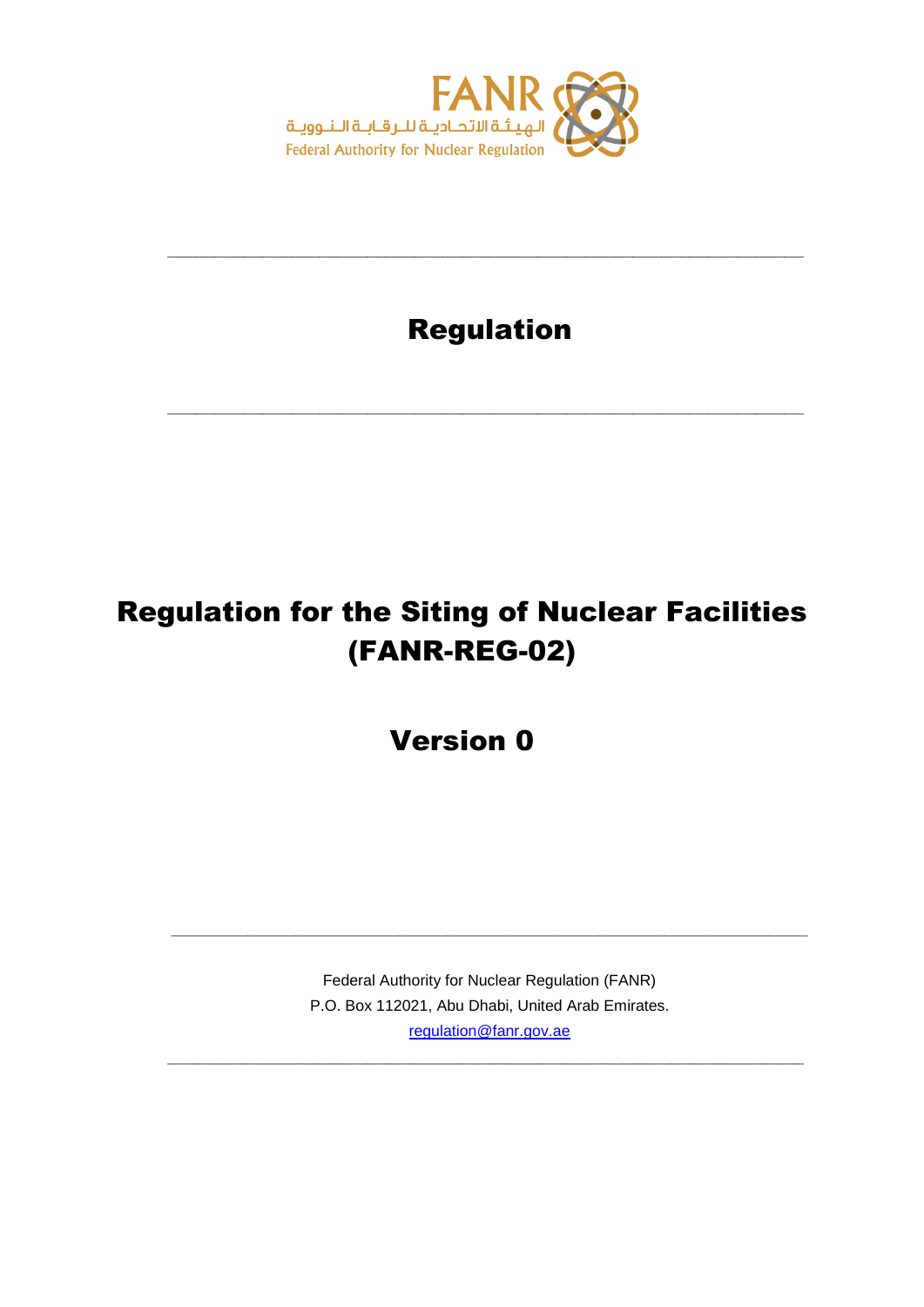

## Regulation

**\_\_\_\_\_\_\_\_\_\_\_\_\_\_\_\_\_\_\_\_\_\_\_\_\_\_\_\_\_\_\_\_\_\_\_\_\_\_\_\_\_\_\_\_\_\_\_\_\_\_\_\_\_\_\_\_\_\_\_\_\_\_\_\_\_\_\_**

**\_\_\_\_\_\_\_\_\_\_\_\_\_\_\_\_\_\_\_\_\_\_\_\_\_\_\_\_\_\_\_\_\_\_\_\_\_\_\_\_\_\_\_\_\_\_\_\_\_\_\_\_\_\_\_\_\_\_\_\_\_\_\_\_\_\_\_**

# Regulation for the Siting of Nuclear Facilities (FANR-REG-02)

Version 0

Federal Authority for Nuclear Regulation (FANR) P.O. Box 112021, Abu Dhabi, United Arab Emirates. [regulation@fanr.gov.ae](http://www.fanr.gov.ae/)

**\_\_\_\_\_\_\_\_\_\_\_\_\_\_\_\_\_\_\_\_\_\_\_\_\_\_\_\_\_\_\_\_\_\_\_\_\_\_\_\_\_\_\_\_\_\_\_\_\_\_\_\_\_\_\_\_\_\_\_\_\_\_\_\_\_\_\_**

**\_\_\_\_\_\_\_\_\_\_\_\_\_\_\_\_\_\_\_\_\_\_\_\_\_\_\_\_\_\_\_\_\_\_\_\_\_\_\_\_\_\_\_\_\_\_\_\_\_\_\_\_\_\_\_\_\_\_\_\_\_\_\_\_\_\_\_**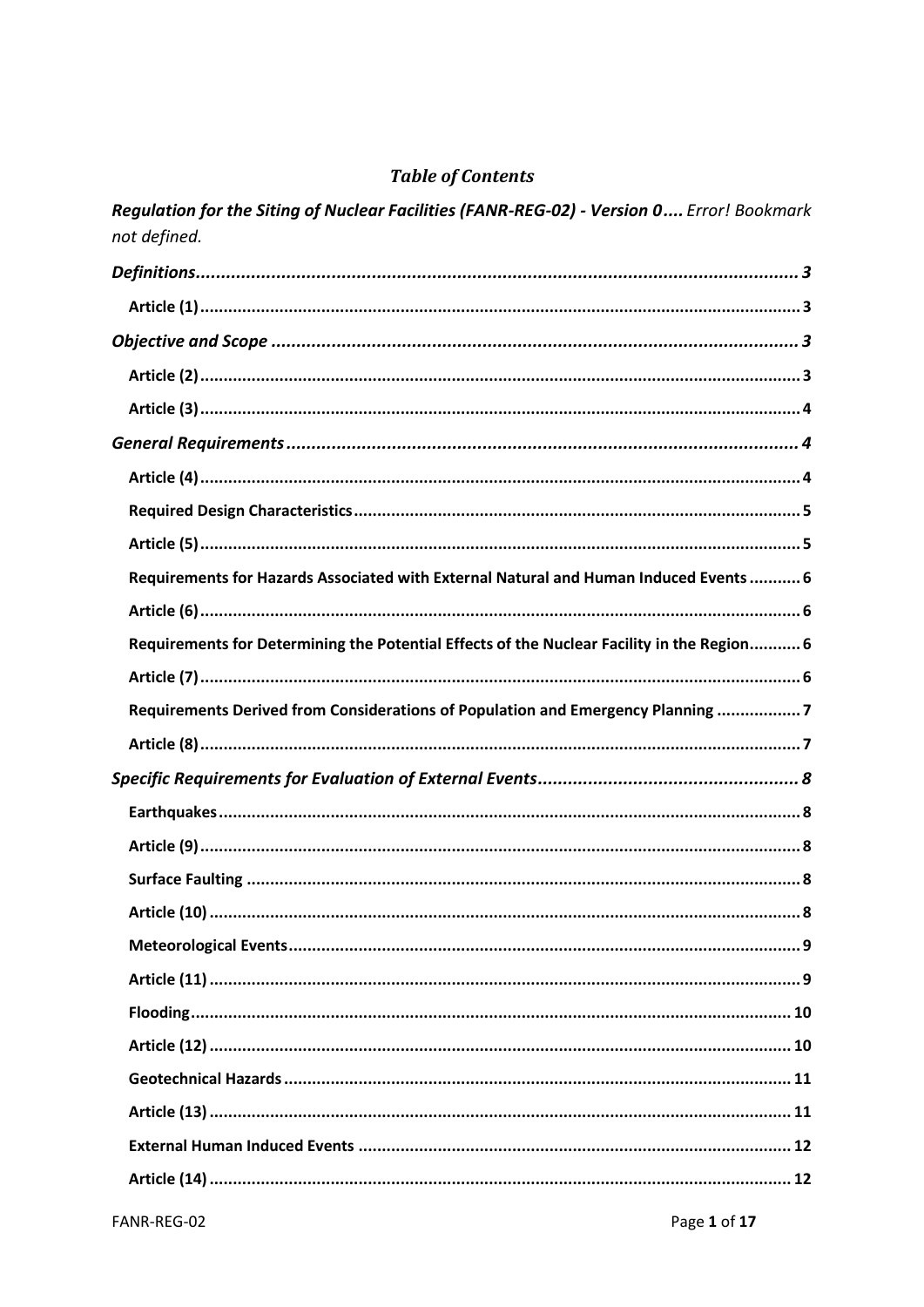## **Table of Contents**

| Regulation for the Siting of Nacieal Facilities (FANR-REG-02) - Version O Effor: DOORMARK<br>not defined. |
|-----------------------------------------------------------------------------------------------------------|
|                                                                                                           |
|                                                                                                           |
|                                                                                                           |
|                                                                                                           |
|                                                                                                           |
|                                                                                                           |
|                                                                                                           |
|                                                                                                           |
|                                                                                                           |
| Requirements for Hazards Associated with External Natural and Human Induced Events 6                      |
|                                                                                                           |
| Requirements for Determining the Potential Effects of the Nuclear Facility in the Region 6                |
|                                                                                                           |
| Requirements Derived from Considerations of Population and Emergency Planning 7                           |
|                                                                                                           |
|                                                                                                           |
|                                                                                                           |
|                                                                                                           |
|                                                                                                           |
|                                                                                                           |
|                                                                                                           |
|                                                                                                           |
|                                                                                                           |
|                                                                                                           |
|                                                                                                           |
|                                                                                                           |
|                                                                                                           |
|                                                                                                           |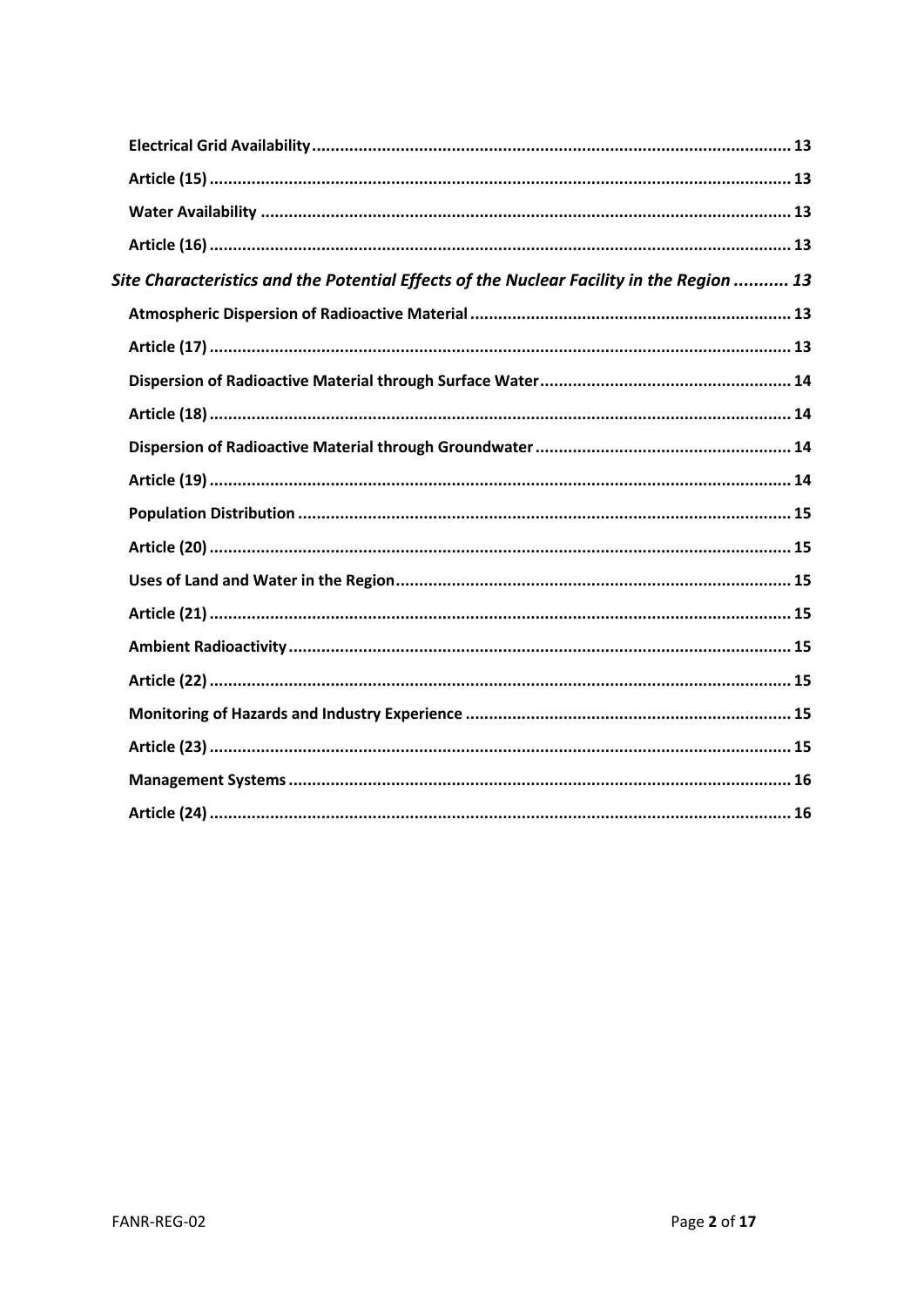<span id="page-2-0"></span>

| Site Characteristics and the Potential Effects of the Nuclear Facility in the Region  13 |
|------------------------------------------------------------------------------------------|
|                                                                                          |
|                                                                                          |
|                                                                                          |
|                                                                                          |
|                                                                                          |
|                                                                                          |
|                                                                                          |
|                                                                                          |
|                                                                                          |
|                                                                                          |
|                                                                                          |
|                                                                                          |
|                                                                                          |
|                                                                                          |
|                                                                                          |
|                                                                                          |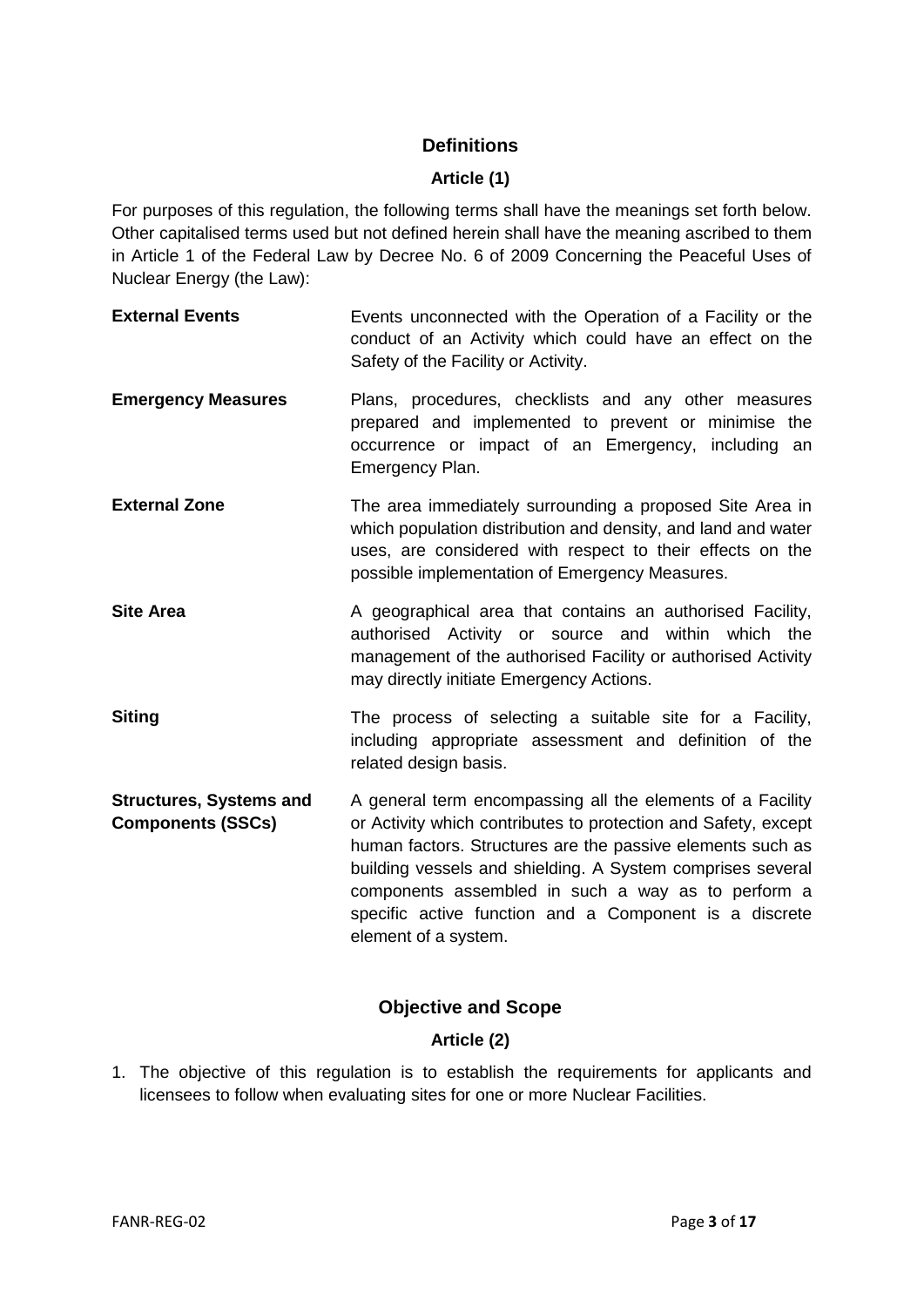### **Definitions**

#### **Article (1)**

<span id="page-3-0"></span>For purposes of this regulation, the following terms shall have the meanings set forth below. Other capitalised terms used but not defined herein shall have the meaning ascribed to them in Article 1 of the Federal Law by Decree No. 6 of 2009 Concerning the Peaceful Uses of Nuclear Energy (the Law):

- **External Events** Events unconnected with the Operation of a Facility or the conduct of an Activity which could have an effect on the Safety of the Facility or Activity.
- **Emergency Measures** Plans, procedures, checklists and any other measures prepared and implemented to prevent or minimise the occurrence or impact of an Emergency, including an Emergency Plan.
- **External Zone** The area immediately surrounding a proposed Site Area in which population distribution and density, and land and water uses, are considered with respect to their effects on the possible implementation of Emergency Measures.
- **Site Area** A geographical area that contains an authorised Facility, authorised Activity or source and within which the management of the authorised Facility or authorised Activity may directly initiate Emergency Actions.
- **Siting** The process of selecting a suitable site for a Facility, including appropriate assessment and definition of the related design basis.
- **Structures, Systems and Components (SSCs)** A general term encompassing all the elements of a Facility or Activity which contributes to protection and Safety, except human factors. Structures are the passive elements such as building vessels and shielding. A System comprises several components assembled in such a way as to perform a specific active function and a Component is a discrete element of a system.

## **Objective and Scope**

## **Article (2)**

<span id="page-3-2"></span><span id="page-3-1"></span>1. The objective of this regulation is to establish the requirements for applicants and licensees to follow when evaluating sites for one or more Nuclear Facilities.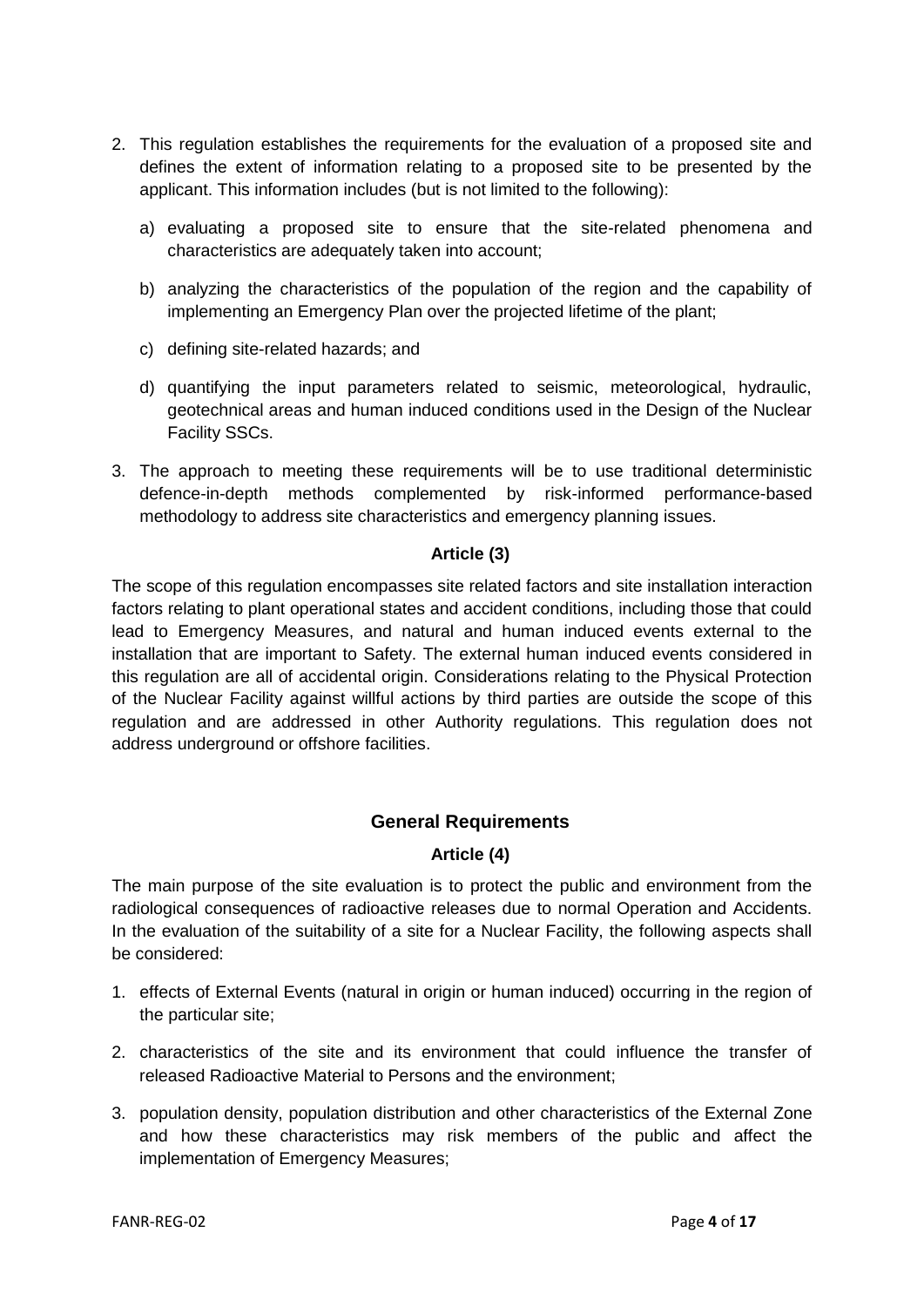- 2. This regulation establishes the requirements for the evaluation of a proposed site and defines the extent of information relating to a proposed site to be presented by the applicant. This information includes (but is not limited to the following):
	- a) evaluating a proposed site to ensure that the site-related phenomena and characteristics are adequately taken into account;
	- b) analyzing the characteristics of the population of the region and the capability of implementing an Emergency Plan over the projected lifetime of the plant;
	- c) defining site-related hazards; and
	- d) quantifying the input parameters related to seismic, meteorological, hydraulic, geotechnical areas and human induced conditions used in the Design of the Nuclear Facility SSCs.
- 3. The approach to meeting these requirements will be to use traditional deterministic defence-in-depth methods complemented by risk-informed performance-based methodology to address site characteristics and emergency planning issues.

#### **Article (3)**

<span id="page-4-0"></span>The scope of this regulation encompasses site related factors and site installation interaction factors relating to plant operational states and accident conditions, including those that could lead to Emergency Measures, and natural and human induced events external to the installation that are important to Safety. The external human induced events considered in this regulation are all of accidental origin. Considerations relating to the Physical Protection of the Nuclear Facility against willful actions by third parties are outside the scope of this regulation and are addressed in other Authority regulations. This regulation does not address underground or offshore facilities.

#### **General Requirements**

#### **Article (4)**

<span id="page-4-2"></span><span id="page-4-1"></span>The main purpose of the site evaluation is to protect the public and environment from the radiological consequences of radioactive releases due to normal Operation and Accidents. In the evaluation of the suitability of a site for a Nuclear Facility, the following aspects shall be considered:

- 1. effects of External Events (natural in origin or human induced) occurring in the region of the particular site;
- 2. characteristics of the site and its environment that could influence the transfer of released Radioactive Material to Persons and the environment;
- 3. population density, population distribution and other characteristics of the External Zone and how these characteristics may risk members of the public and affect the implementation of Emergency Measures;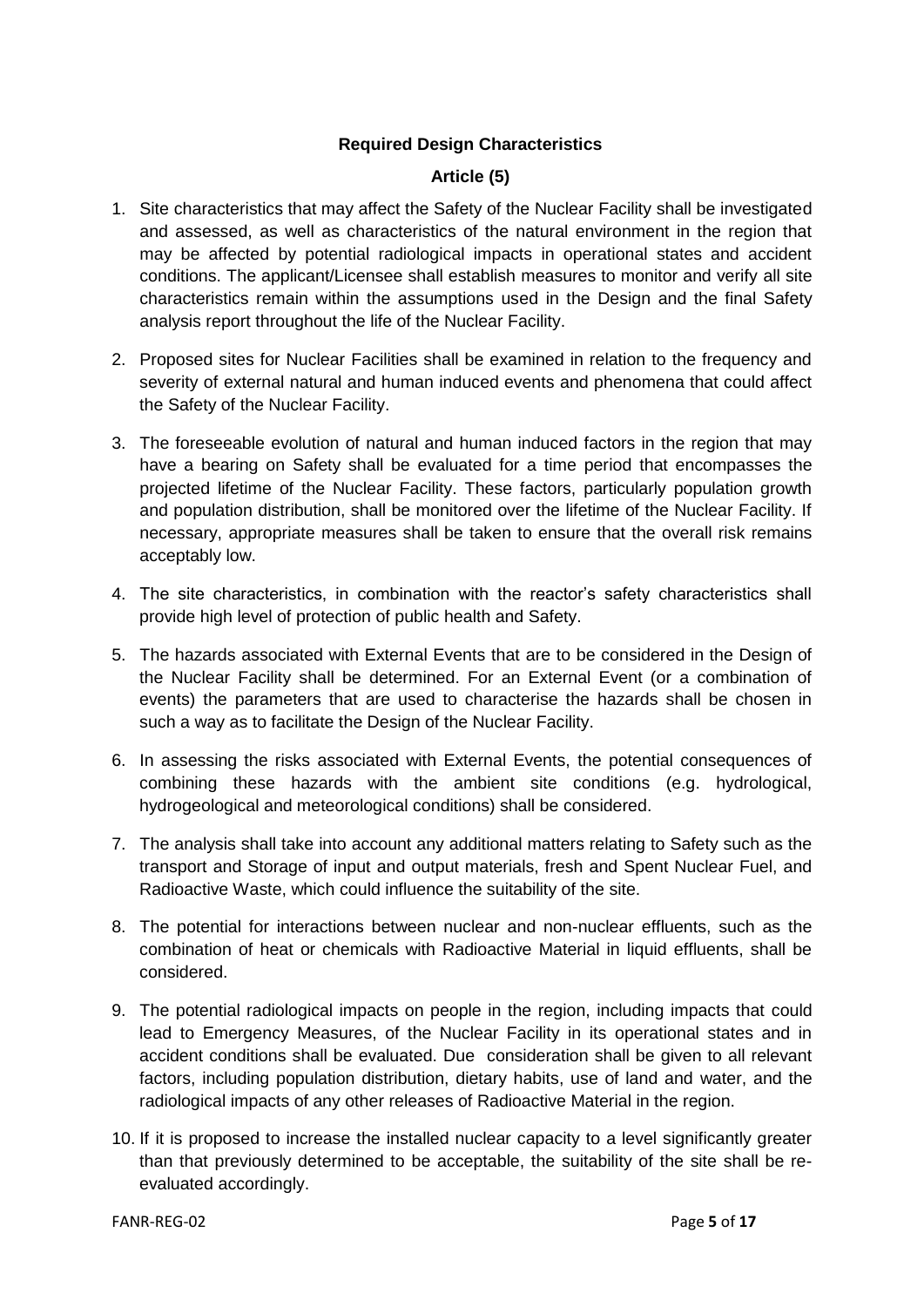#### **Required Design Characteristics**

#### **Article (5)**

- <span id="page-5-1"></span><span id="page-5-0"></span>1. Site characteristics that may affect the Safety of the Nuclear Facility shall be investigated and assessed, as well as characteristics of the natural environment in the region that may be affected by potential radiological impacts in operational states and accident conditions. The applicant/Licensee shall establish measures to monitor and verify all site characteristics remain within the assumptions used in the Design and the final Safety analysis report throughout the life of the Nuclear Facility.
- 2. Proposed sites for Nuclear Facilities shall be examined in relation to the frequency and severity of external natural and human induced events and phenomena that could affect the Safety of the Nuclear Facility.
- 3. The foreseeable evolution of natural and human induced factors in the region that may have a bearing on Safety shall be evaluated for a time period that encompasses the projected lifetime of the Nuclear Facility. These factors, particularly population growth and population distribution, shall be monitored over the lifetime of the Nuclear Facility. If necessary, appropriate measures shall be taken to ensure that the overall risk remains acceptably low.
- 4. The site characteristics, in combination with the reactor's safety characteristics shall provide high level of protection of public health and Safety.
- 5. The hazards associated with External Events that are to be considered in the Design of the Nuclear Facility shall be determined. For an External Event (or a combination of events) the parameters that are used to characterise the hazards shall be chosen in such a way as to facilitate the Design of the Nuclear Facility.
- 6. In assessing the risks associated with External Events, the potential consequences of combining these hazards with the ambient site conditions (e.g. hydrological, hydrogeological and meteorological conditions) shall be considered.
- 7. The analysis shall take into account any additional matters relating to Safety such as the transport and Storage of input and output materials, fresh and Spent Nuclear Fuel, and Radioactive Waste, which could influence the suitability of the site.
- 8. The potential for interactions between nuclear and non-nuclear effluents, such as the combination of heat or chemicals with Radioactive Material in liquid effluents, shall be considered.
- 9. The potential radiological impacts on people in the region, including impacts that could lead to Emergency Measures, of the Nuclear Facility in its operational states and in accident conditions shall be evaluated. Due consideration shall be given to all relevant factors, including population distribution, dietary habits, use of land and water, and the radiological impacts of any other releases of Radioactive Material in the region.
- 10. If it is proposed to increase the installed nuclear capacity to a level significantly greater than that previously determined to be acceptable, the suitability of the site shall be reevaluated accordingly.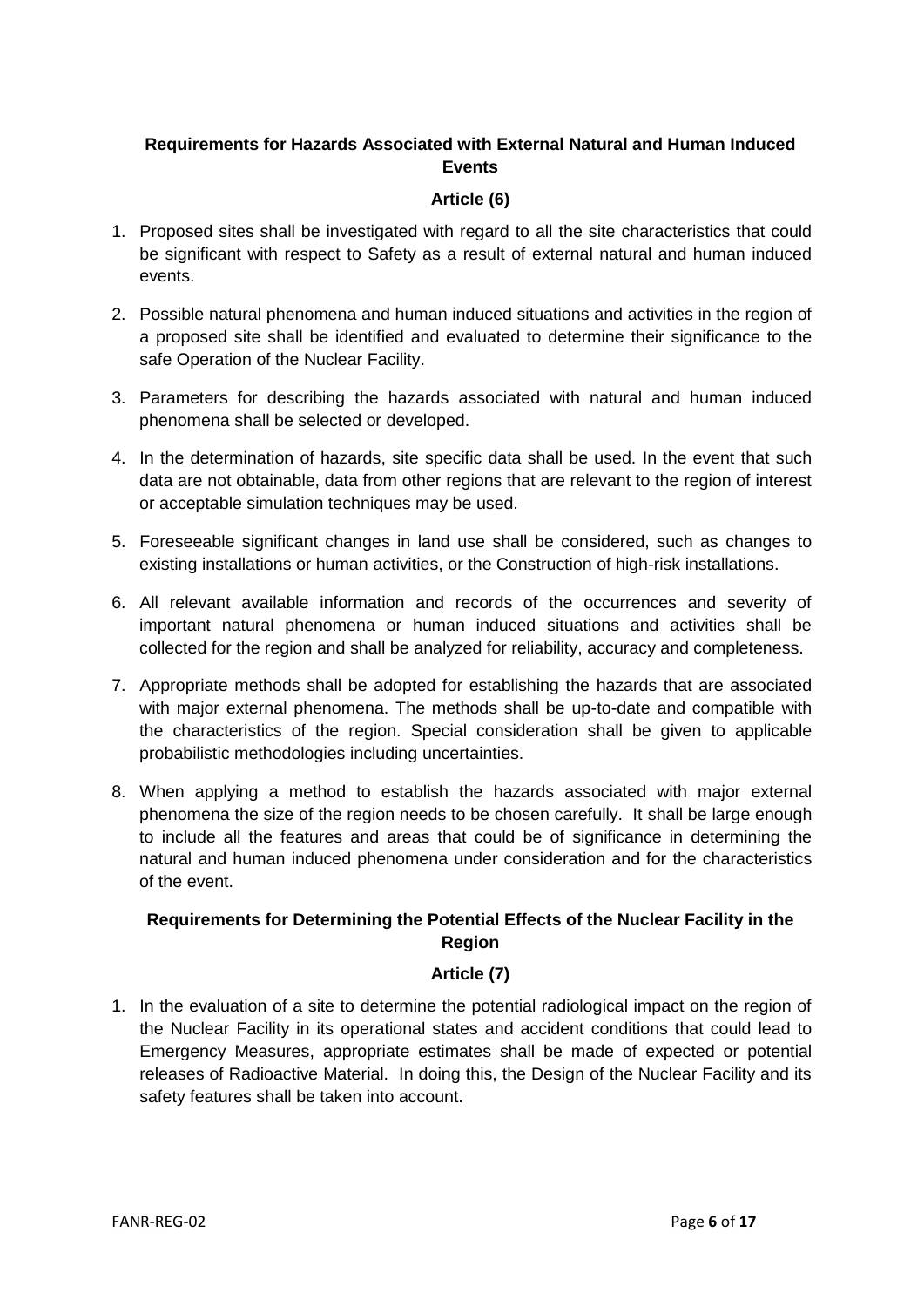### <span id="page-6-0"></span>**Requirements for Hazards Associated with External Natural and Human Induced Events**

#### **Article (6)**

- <span id="page-6-1"></span>1. Proposed sites shall be investigated with regard to all the site characteristics that could be significant with respect to Safety as a result of external natural and human induced events.
- 2. Possible natural phenomena and human induced situations and activities in the region of a proposed site shall be identified and evaluated to determine their significance to the safe Operation of the Nuclear Facility.
- 3. Parameters for describing the hazards associated with natural and human induced phenomena shall be selected or developed.
- 4. In the determination of hazards, site specific data shall be used. In the event that such data are not obtainable, data from other regions that are relevant to the region of interest or acceptable simulation techniques may be used.
- 5. Foreseeable significant changes in land use shall be considered, such as changes to existing installations or human activities, or the Construction of high-risk installations.
- 6. All relevant available information and records of the occurrences and severity of important natural phenomena or human induced situations and activities shall be collected for the region and shall be analyzed for reliability, accuracy and completeness.
- 7. Appropriate methods shall be adopted for establishing the hazards that are associated with major external phenomena. The methods shall be up-to-date and compatible with the characteristics of the region. Special consideration shall be given to applicable probabilistic methodologies including uncertainties.
- 8. When applying a method to establish the hazards associated with major external phenomena the size of the region needs to be chosen carefully. It shall be large enough to include all the features and areas that could be of significance in determining the natural and human induced phenomena under consideration and for the characteristics of the event.

## <span id="page-6-2"></span>**Requirements for Determining the Potential Effects of the Nuclear Facility in the Region**

#### **Article (7)**

<span id="page-6-3"></span>1. In the evaluation of a site to determine the potential radiological impact on the region of the Nuclear Facility in its operational states and accident conditions that could lead to Emergency Measures, appropriate estimates shall be made of expected or potential releases of Radioactive Material. In doing this, the Design of the Nuclear Facility and its safety features shall be taken into account.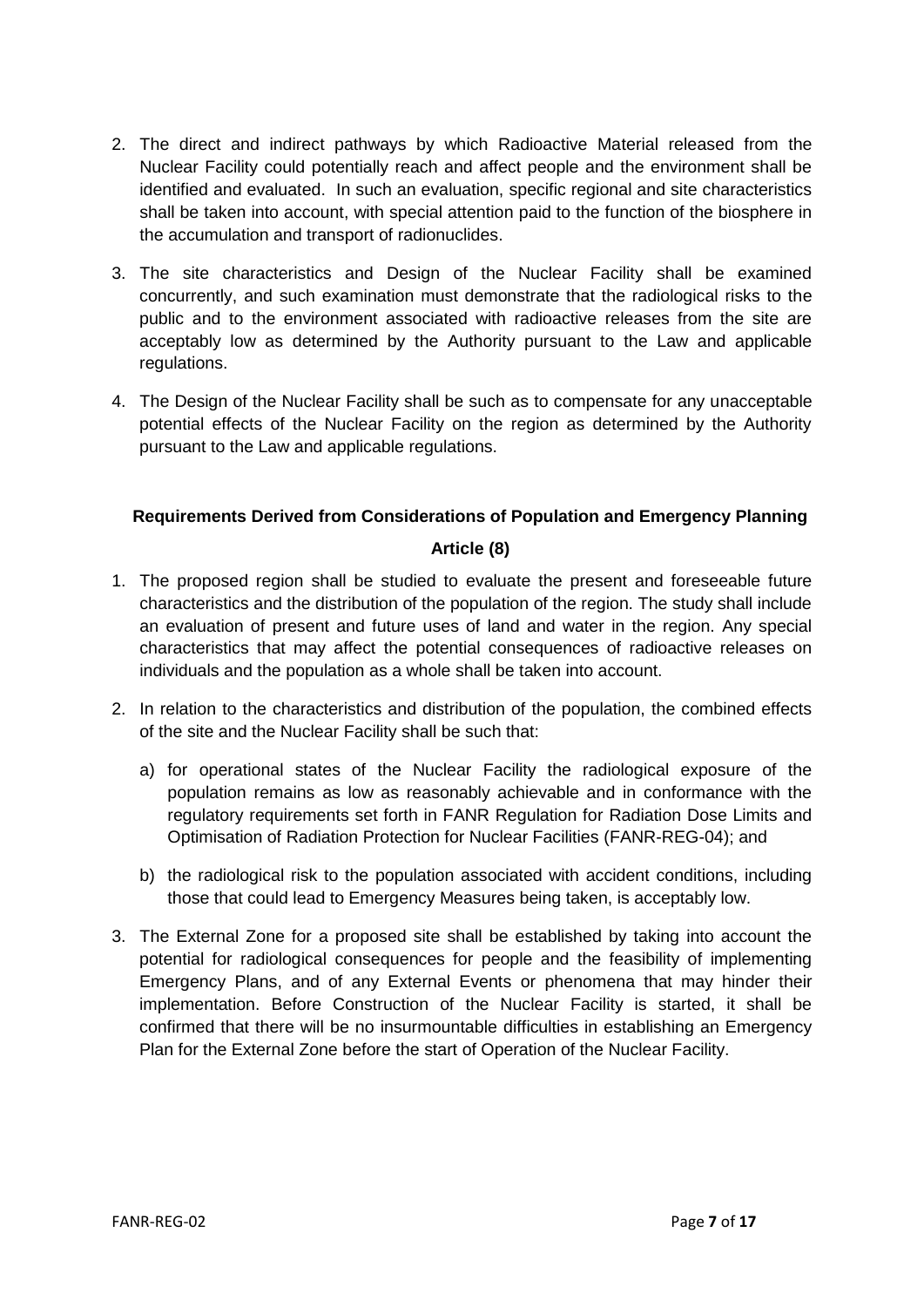- 2. The direct and indirect pathways by which Radioactive Material released from the Nuclear Facility could potentially reach and affect people and the environment shall be identified and evaluated. In such an evaluation, specific regional and site characteristics shall be taken into account, with special attention paid to the function of the biosphere in the accumulation and transport of radionuclides.
- 3. The site characteristics and Design of the Nuclear Facility shall be examined concurrently, and such examination must demonstrate that the radiological risks to the public and to the environment associated with radioactive releases from the site are acceptably low as determined by the Authority pursuant to the Law and applicable regulations.
- 4. The Design of the Nuclear Facility shall be such as to compensate for any unacceptable potential effects of the Nuclear Facility on the region as determined by the Authority pursuant to the Law and applicable regulations.

#### <span id="page-7-0"></span>**Requirements Derived from Considerations of Population and Emergency Planning**

#### **Article (8)**

- <span id="page-7-1"></span>1. The proposed region shall be studied to evaluate the present and foreseeable future characteristics and the distribution of the population of the region. The study shall include an evaluation of present and future uses of land and water in the region. Any special characteristics that may affect the potential consequences of radioactive releases on individuals and the population as a whole shall be taken into account.
- 2. In relation to the characteristics and distribution of the population, the combined effects of the site and the Nuclear Facility shall be such that:
	- a) for operational states of the Nuclear Facility the radiological exposure of the population remains as low as reasonably achievable and in conformance with the regulatory requirements set forth in FANR Regulation for Radiation Dose Limits and Optimisation of Radiation Protection for Nuclear Facilities (FANR-REG-04); and
	- b) the radiological risk to the population associated with accident conditions, including those that could lead to Emergency Measures being taken, is acceptably low.
- 3. The External Zone for a proposed site shall be established by taking into account the potential for radiological consequences for people and the feasibility of implementing Emergency Plans, and of any External Events or phenomena that may hinder their implementation. Before Construction of the Nuclear Facility is started, it shall be confirmed that there will be no insurmountable difficulties in establishing an Emergency Plan for the External Zone before the start of Operation of the Nuclear Facility.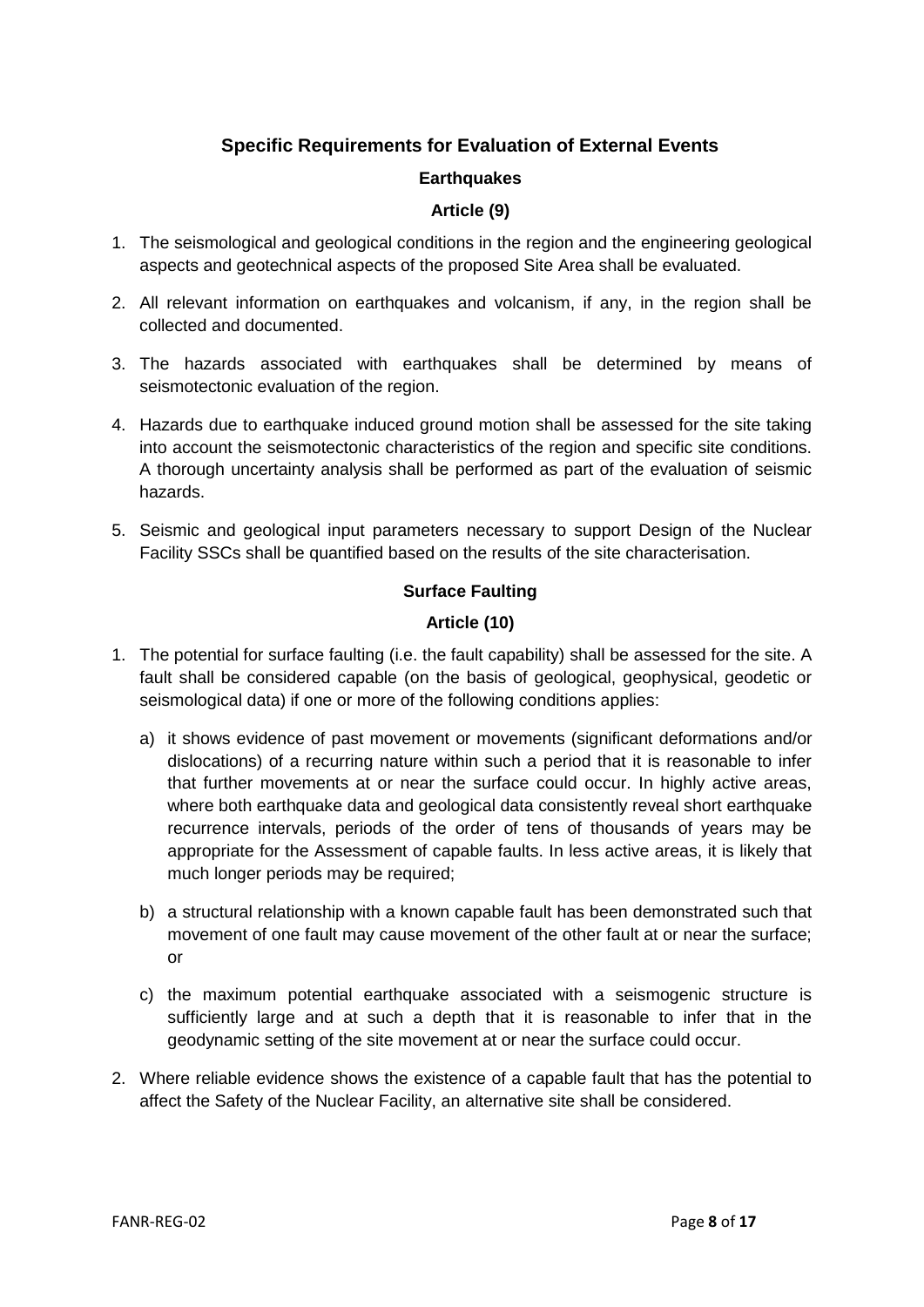## **Specific Requirements for Evaluation of External Events**

#### **Earthquakes**

#### **Article (9)**

- <span id="page-8-2"></span><span id="page-8-1"></span><span id="page-8-0"></span>1. The seismological and geological conditions in the region and the engineering geological aspects and geotechnical aspects of the proposed Site Area shall be evaluated.
- 2. All relevant information on earthquakes and volcanism, if any, in the region shall be collected and documented.
- 3. The hazards associated with earthquakes shall be determined by means of seismotectonic evaluation of the region.
- 4. Hazards due to earthquake induced ground motion shall be assessed for the site taking into account the seismotectonic characteristics of the region and specific site conditions. A thorough uncertainty analysis shall be performed as part of the evaluation of seismic hazards.
- <span id="page-8-3"></span>5. Seismic and geological input parameters necessary to support Design of the Nuclear Facility SSCs shall be quantified based on the results of the site characterisation.

#### **Surface Faulting**

#### **Article (10)**

- <span id="page-8-4"></span>1. The potential for surface faulting (i.e. the fault capability) shall be assessed for the site. A fault shall be considered capable (on the basis of geological, geophysical, geodetic or seismological data) if one or more of the following conditions applies:
	- a) it shows evidence of past movement or movements (significant deformations and/or dislocations) of a recurring nature within such a period that it is reasonable to infer that further movements at or near the surface could occur. In highly active areas, where both earthquake data and geological data consistently reveal short earthquake recurrence intervals, periods of the order of tens of thousands of years may be appropriate for the Assessment of capable faults. In less active areas, it is likely that much longer periods may be required;
	- b) a structural relationship with a known capable fault has been demonstrated such that movement of one fault may cause movement of the other fault at or near the surface; or
	- c) the maximum potential earthquake associated with a seismogenic structure is sufficiently large and at such a depth that it is reasonable to infer that in the geodynamic setting of the site movement at or near the surface could occur.
- 2. Where reliable evidence shows the existence of a capable fault that has the potential to affect the Safety of the Nuclear Facility, an alternative site shall be considered.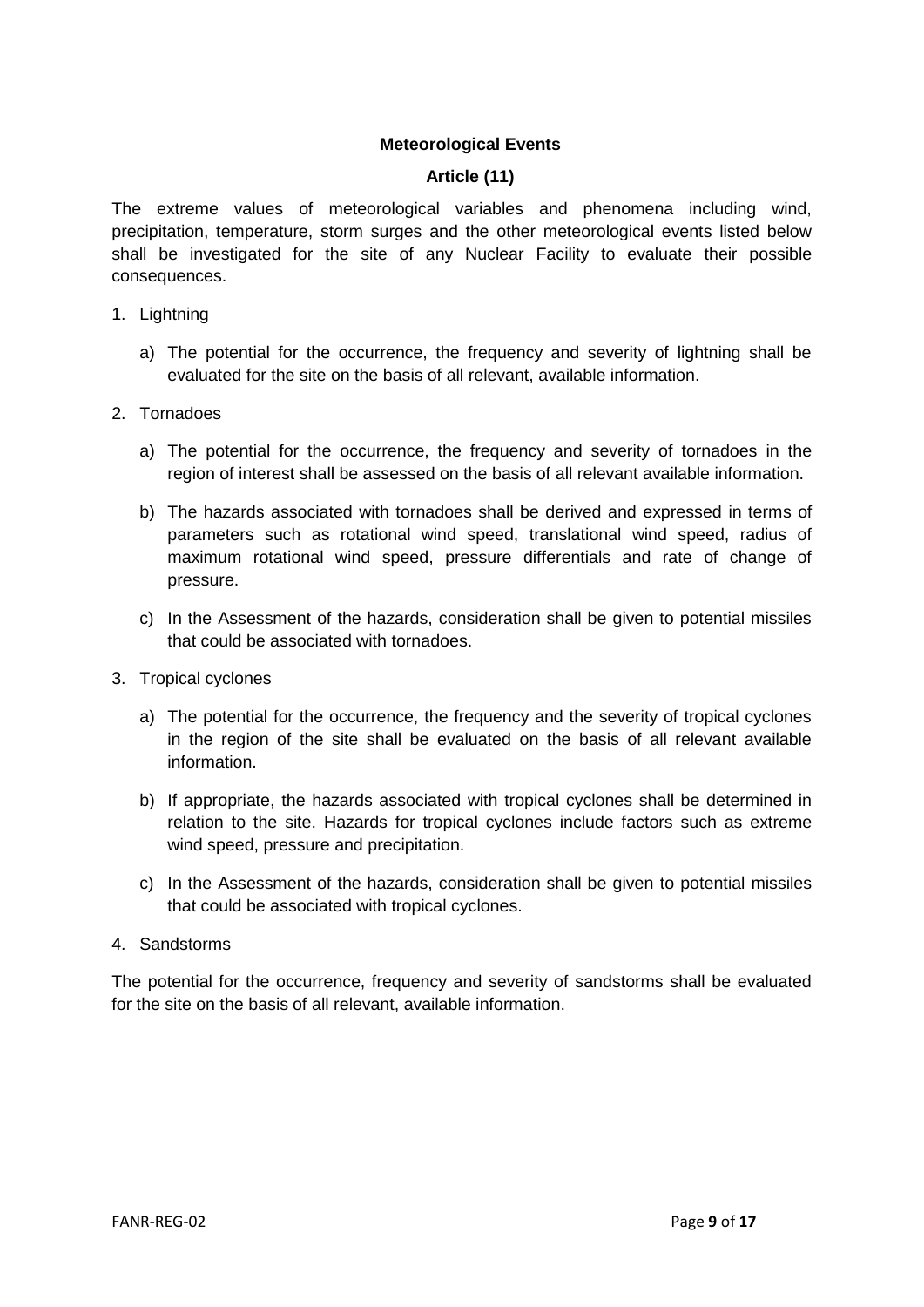#### **Meteorological Events**

#### **Article (11)**

<span id="page-9-1"></span><span id="page-9-0"></span>The extreme values of meteorological variables and phenomena including wind, precipitation, temperature, storm surges and the other meteorological events listed below shall be investigated for the site of any Nuclear Facility to evaluate their possible consequences.

- 1. Lightning
	- a) The potential for the occurrence, the frequency and severity of lightning shall be evaluated for the site on the basis of all relevant, available information.
- 2. Tornadoes
	- a) The potential for the occurrence, the frequency and severity of tornadoes in the region of interest shall be assessed on the basis of all relevant available information.
	- b) The hazards associated with tornadoes shall be derived and expressed in terms of parameters such as rotational wind speed, translational wind speed, radius of maximum rotational wind speed, pressure differentials and rate of change of pressure.
	- c) In the Assessment of the hazards, consideration shall be given to potential missiles that could be associated with tornadoes.
- 3. Tropical cyclones
	- a) The potential for the occurrence, the frequency and the severity of tropical cyclones in the region of the site shall be evaluated on the basis of all relevant available information.
	- b) If appropriate, the hazards associated with tropical cyclones shall be determined in relation to the site. Hazards for tropical cyclones include factors such as extreme wind speed, pressure and precipitation.
	- c) In the Assessment of the hazards, consideration shall be given to potential missiles that could be associated with tropical cyclones.
- 4. Sandstorms

The potential for the occurrence, frequency and severity of sandstorms shall be evaluated for the site on the basis of all relevant, available information.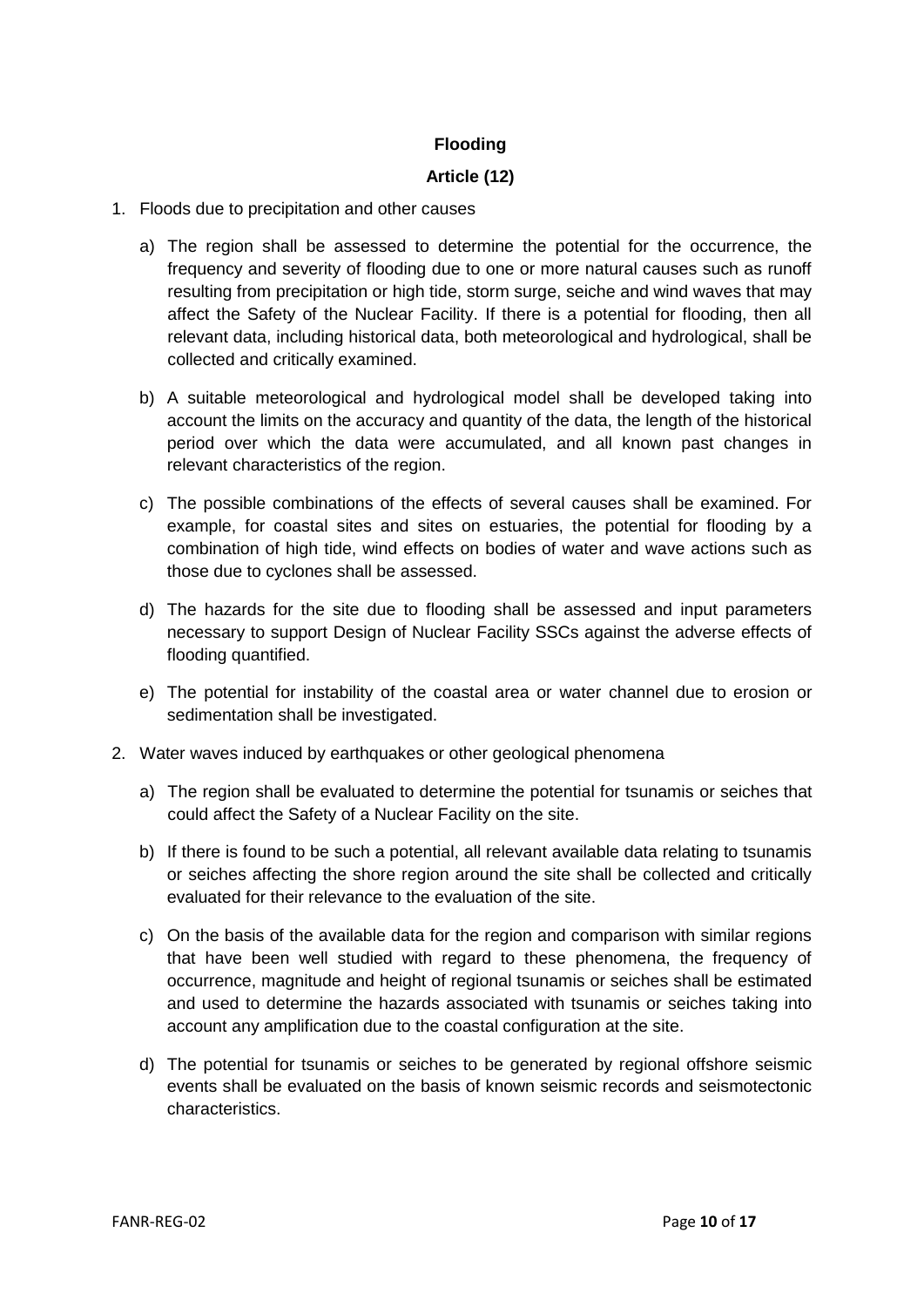#### **Flooding**

#### **Article (12)**

- <span id="page-10-1"></span><span id="page-10-0"></span>1. Floods due to precipitation and other causes
	- a) The region shall be assessed to determine the potential for the occurrence, the frequency and severity of flooding due to one or more natural causes such as runoff resulting from precipitation or high tide, storm surge, seiche and wind waves that may affect the Safety of the Nuclear Facility. If there is a potential for flooding, then all relevant data, including historical data, both meteorological and hydrological, shall be collected and critically examined.
	- b) A suitable meteorological and hydrological model shall be developed taking into account the limits on the accuracy and quantity of the data, the length of the historical period over which the data were accumulated, and all known past changes in relevant characteristics of the region.
	- c) The possible combinations of the effects of several causes shall be examined. For example, for coastal sites and sites on estuaries, the potential for flooding by a combination of high tide, wind effects on bodies of water and wave actions such as those due to cyclones shall be assessed.
	- d) The hazards for the site due to flooding shall be assessed and input parameters necessary to support Design of Nuclear Facility SSCs against the adverse effects of flooding quantified.
	- e) The potential for instability of the coastal area or water channel due to erosion or sedimentation shall be investigated.
- 2. Water waves induced by earthquakes or other geological phenomena
	- a) The region shall be evaluated to determine the potential for tsunamis or seiches that could affect the Safety of a Nuclear Facility on the site.
	- b) If there is found to be such a potential, all relevant available data relating to tsunamis or seiches affecting the shore region around the site shall be collected and critically evaluated for their relevance to the evaluation of the site.
	- c) On the basis of the available data for the region and comparison with similar regions that have been well studied with regard to these phenomena, the frequency of occurrence, magnitude and height of regional tsunamis or seiches shall be estimated and used to determine the hazards associated with tsunamis or seiches taking into account any amplification due to the coastal configuration at the site.
	- d) The potential for tsunamis or seiches to be generated by regional offshore seismic events shall be evaluated on the basis of known seismic records and seismotectonic characteristics.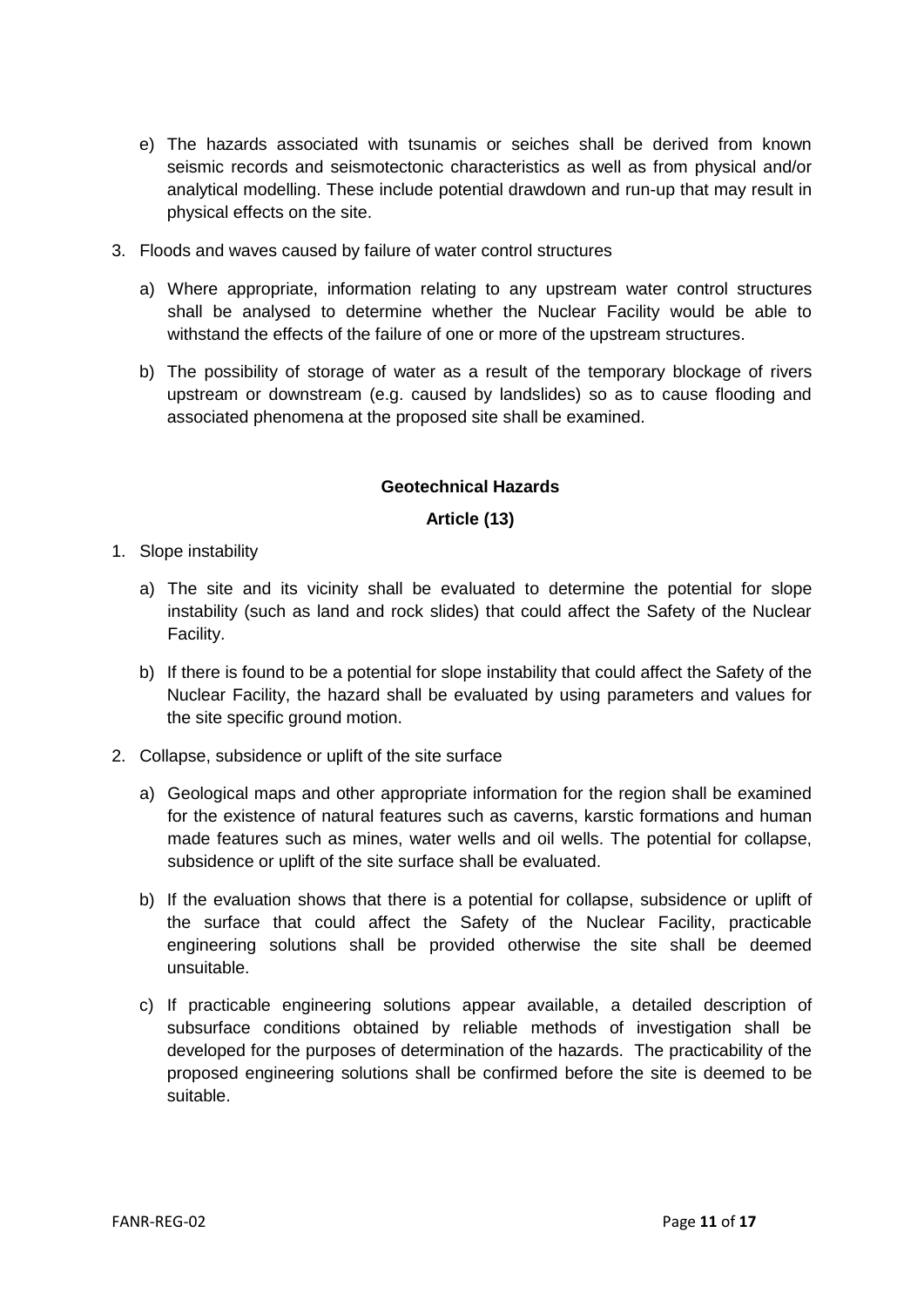- e) The hazards associated with tsunamis or seiches shall be derived from known seismic records and seismotectonic characteristics as well as from physical and/or analytical modelling. These include potential drawdown and run-up that may result in physical effects on the site.
- 3. Floods and waves caused by failure of water control structures
	- a) Where appropriate, information relating to any upstream water control structures shall be analysed to determine whether the Nuclear Facility would be able to withstand the effects of the failure of one or more of the upstream structures.
	- b) The possibility of storage of water as a result of the temporary blockage of rivers upstream or downstream (e.g. caused by landslides) so as to cause flooding and associated phenomena at the proposed site shall be examined.

#### **Geotechnical Hazards**

#### **Article (13)**

- <span id="page-11-1"></span><span id="page-11-0"></span>1. Slope instability
	- a) The site and its vicinity shall be evaluated to determine the potential for slope instability (such as land and rock slides) that could affect the Safety of the Nuclear Facility.
	- b) If there is found to be a potential for slope instability that could affect the Safety of the Nuclear Facility, the hazard shall be evaluated by using parameters and values for the site specific ground motion.
- 2. Collapse, subsidence or uplift of the site surface
	- a) Geological maps and other appropriate information for the region shall be examined for the existence of natural features such as caverns, karstic formations and human made features such as mines, water wells and oil wells. The potential for collapse, subsidence or uplift of the site surface shall be evaluated.
	- b) If the evaluation shows that there is a potential for collapse, subsidence or uplift of the surface that could affect the Safety of the Nuclear Facility, practicable engineering solutions shall be provided otherwise the site shall be deemed unsuitable.
	- c) If practicable engineering solutions appear available, a detailed description of subsurface conditions obtained by reliable methods of investigation shall be developed for the purposes of determination of the hazards. The practicability of the proposed engineering solutions shall be confirmed before the site is deemed to be suitable.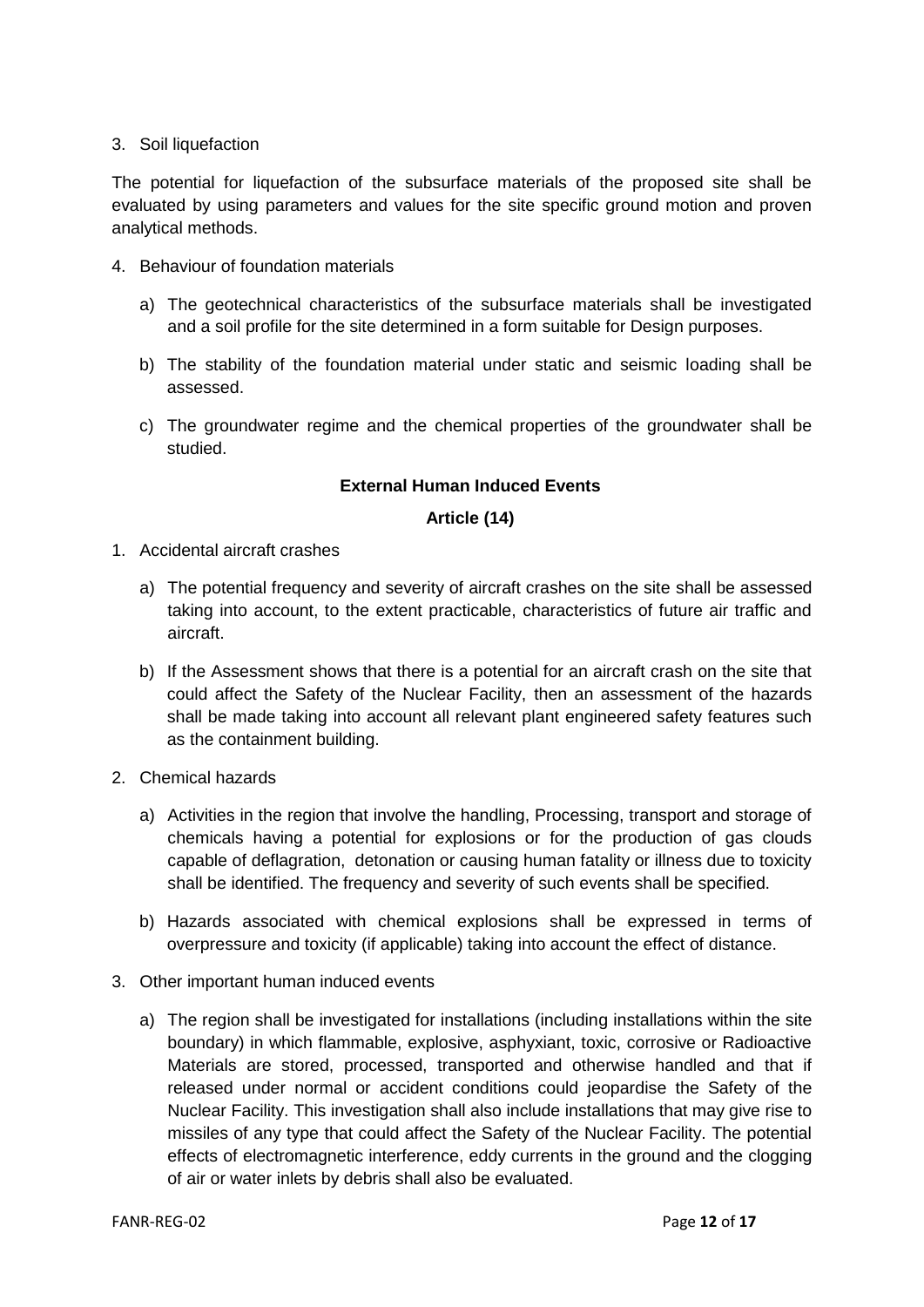#### 3. Soil liquefaction

The potential for liquefaction of the subsurface materials of the proposed site shall be evaluated by using parameters and values for the site specific ground motion and proven analytical methods.

- 4. Behaviour of foundation materials
	- a) The geotechnical characteristics of the subsurface materials shall be investigated and a soil profile for the site determined in a form suitable for Design purposes.
	- b) The stability of the foundation material under static and seismic loading shall be assessed.
	- c) The groundwater regime and the chemical properties of the groundwater shall be studied.

#### **External Human Induced Events**

#### **Article (14)**

- <span id="page-12-1"></span><span id="page-12-0"></span>1. Accidental aircraft crashes
	- a) The potential frequency and severity of aircraft crashes on the site shall be assessed taking into account, to the extent practicable, characteristics of future air traffic and aircraft.
	- b) If the Assessment shows that there is a potential for an aircraft crash on the site that could affect the Safety of the Nuclear Facility, then an assessment of the hazards shall be made taking into account all relevant plant engineered safety features such as the containment building.
- 2. Chemical hazards
	- a) Activities in the region that involve the handling, Processing, transport and storage of chemicals having a potential for explosions or for the production of gas clouds capable of deflagration, detonation or causing human fatality or illness due to toxicity shall be identified. The frequency and severity of such events shall be specified.
	- b) Hazards associated with chemical explosions shall be expressed in terms of overpressure and toxicity (if applicable) taking into account the effect of distance.
- 3. Other important human induced events
	- a) The region shall be investigated for installations (including installations within the site boundary) in which flammable, explosive, asphyxiant, toxic, corrosive or Radioactive Materials are stored, processed, transported and otherwise handled and that if released under normal or accident conditions could jeopardise the Safety of the Nuclear Facility. This investigation shall also include installations that may give rise to missiles of any type that could affect the Safety of the Nuclear Facility. The potential effects of electromagnetic interference, eddy currents in the ground and the clogging of air or water inlets by debris shall also be evaluated.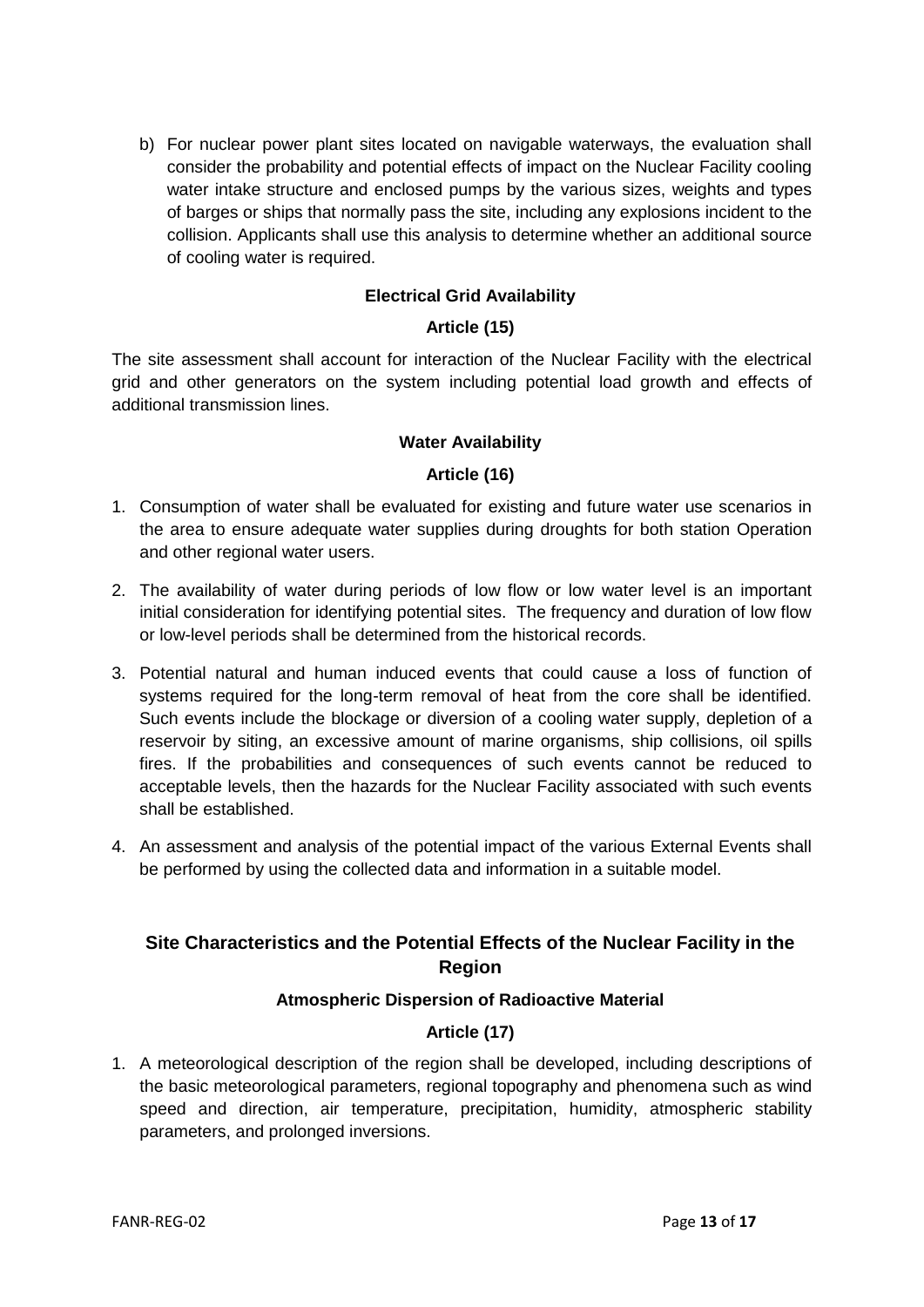b) For nuclear power plant sites located on navigable waterways, the evaluation shall consider the probability and potential effects of impact on the Nuclear Facility cooling water intake structure and enclosed pumps by the various sizes, weights and types of barges or ships that normally pass the site, including any explosions incident to the collision. Applicants shall use this analysis to determine whether an additional source of cooling water is required.

#### **Electrical Grid Availability**

#### **Article (15)**

<span id="page-13-1"></span><span id="page-13-0"></span>The site assessment shall account for interaction of the Nuclear Facility with the electrical grid and other generators on the system including potential load growth and effects of additional transmission lines.

#### **Water Availability**

#### **Article (16)**

- <span id="page-13-3"></span><span id="page-13-2"></span>1. Consumption of water shall be evaluated for existing and future water use scenarios in the area to ensure adequate water supplies during droughts for both station Operation and other regional water users.
- 2. The availability of water during periods of low flow or low water level is an important initial consideration for identifying potential sites. The frequency and duration of low flow or low-level periods shall be determined from the historical records.
- 3. Potential natural and human induced events that could cause a loss of function of systems required for the long-term removal of heat from the core shall be identified. Such events include the blockage or diversion of a cooling water supply, depletion of a reservoir by siting, an excessive amount of marine organisms, ship collisions, oil spills fires. If the probabilities and consequences of such events cannot be reduced to acceptable levels, then the hazards for the Nuclear Facility associated with such events shall be established.
- 4. An assessment and analysis of the potential impact of the various External Events shall be performed by using the collected data and information in a suitable model.

## <span id="page-13-4"></span>**Site Characteristics and the Potential Effects of the Nuclear Facility in the Region**

#### **Atmospheric Dispersion of Radioactive Material**

#### **Article (17)**

<span id="page-13-6"></span><span id="page-13-5"></span>1. A meteorological description of the region shall be developed, including descriptions of the basic meteorological parameters, regional topography and phenomena such as wind speed and direction, air temperature, precipitation, humidity, atmospheric stability parameters, and prolonged inversions.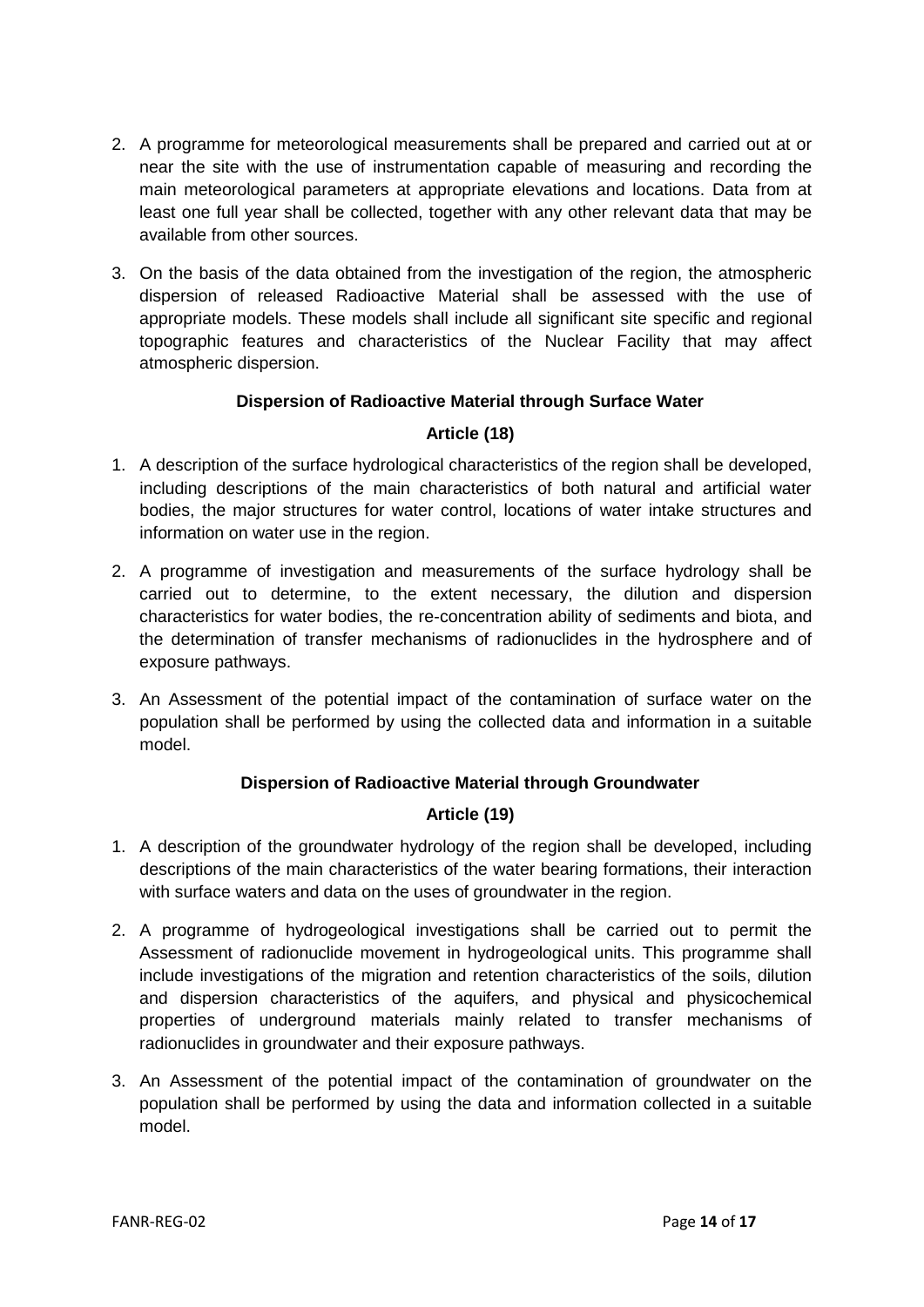- 2. A programme for meteorological measurements shall be prepared and carried out at or near the site with the use of instrumentation capable of measuring and recording the main meteorological parameters at appropriate elevations and locations. Data from at least one full year shall be collected, together with any other relevant data that may be available from other sources.
- 3. On the basis of the data obtained from the investigation of the region, the atmospheric dispersion of released Radioactive Material shall be assessed with the use of appropriate models. These models shall include all significant site specific and regional topographic features and characteristics of the Nuclear Facility that may affect atmospheric dispersion.

#### **Dispersion of Radioactive Material through Surface Water**

#### **Article (18)**

- <span id="page-14-1"></span><span id="page-14-0"></span>1. A description of the surface hydrological characteristics of the region shall be developed, including descriptions of the main characteristics of both natural and artificial water bodies, the major structures for water control, locations of water intake structures and information on water use in the region.
- 2. A programme of investigation and measurements of the surface hydrology shall be carried out to determine, to the extent necessary, the dilution and dispersion characteristics for water bodies, the re-concentration ability of sediments and biota, and the determination of transfer mechanisms of radionuclides in the hydrosphere and of exposure pathways.
- 3. An Assessment of the potential impact of the contamination of surface water on the population shall be performed by using the collected data and information in a suitable model.

#### **Dispersion of Radioactive Material through Groundwater**

#### **Article (19)**

- <span id="page-14-3"></span><span id="page-14-2"></span>1. A description of the groundwater hydrology of the region shall be developed, including descriptions of the main characteristics of the water bearing formations, their interaction with surface waters and data on the uses of groundwater in the region.
- 2. A programme of hydrogeological investigations shall be carried out to permit the Assessment of radionuclide movement in hydrogeological units. This programme shall include investigations of the migration and retention characteristics of the soils, dilution and dispersion characteristics of the aquifers, and physical and physicochemical properties of underground materials mainly related to transfer mechanisms of radionuclides in groundwater and their exposure pathways.
- 3. An Assessment of the potential impact of the contamination of groundwater on the population shall be performed by using the data and information collected in a suitable model.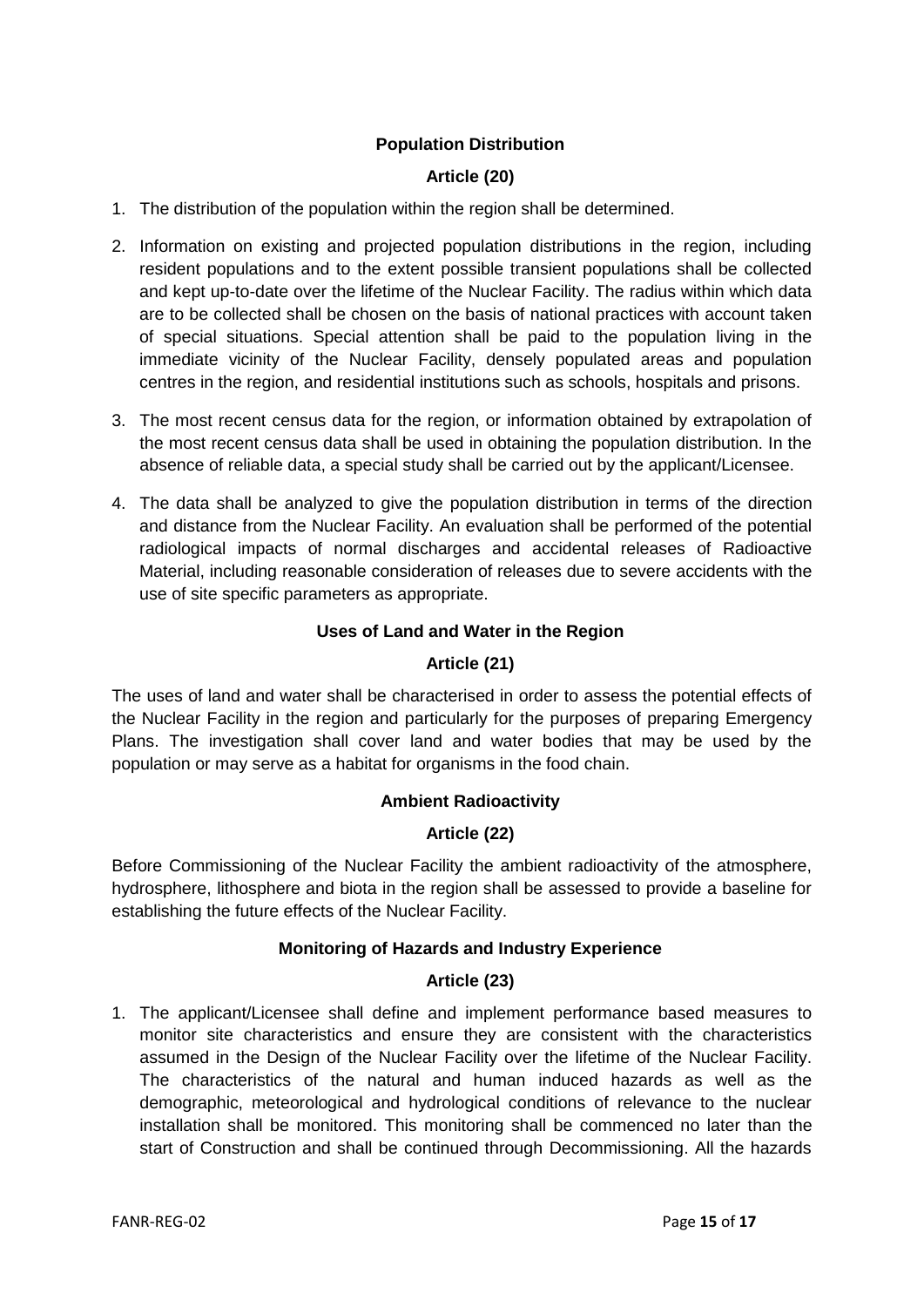#### **Population Distribution**

#### **Article (20)**

- <span id="page-15-1"></span><span id="page-15-0"></span>1. The distribution of the population within the region shall be determined.
- 2. Information on existing and projected population distributions in the region, including resident populations and to the extent possible transient populations shall be collected and kept up-to-date over the lifetime of the Nuclear Facility. The radius within which data are to be collected shall be chosen on the basis of national practices with account taken of special situations. Special attention shall be paid to the population living in the immediate vicinity of the Nuclear Facility, densely populated areas and population centres in the region, and residential institutions such as schools, hospitals and prisons.
- 3. The most recent census data for the region, or information obtained by extrapolation of the most recent census data shall be used in obtaining the population distribution. In the absence of reliable data, a special study shall be carried out by the applicant/Licensee.
- 4. The data shall be analyzed to give the population distribution in terms of the direction and distance from the Nuclear Facility. An evaluation shall be performed of the potential radiological impacts of normal discharges and accidental releases of Radioactive Material, including reasonable consideration of releases due to severe accidents with the use of site specific parameters as appropriate.

#### <span id="page-15-2"></span>**Uses of Land and Water in the Region**

#### **Article (21)**

<span id="page-15-3"></span>The uses of land and water shall be characterised in order to assess the potential effects of the Nuclear Facility in the region and particularly for the purposes of preparing Emergency Plans. The investigation shall cover land and water bodies that may be used by the population or may serve as a habitat for organisms in the food chain.

#### **Ambient Radioactivity**

#### **Article (22)**

<span id="page-15-5"></span><span id="page-15-4"></span>Before Commissioning of the Nuclear Facility the ambient radioactivity of the atmosphere, hydrosphere, lithosphere and biota in the region shall be assessed to provide a baseline for establishing the future effects of the Nuclear Facility.

#### **Monitoring of Hazards and Industry Experience**

#### **Article (23)**

<span id="page-15-7"></span><span id="page-15-6"></span>1. The applicant/Licensee shall define and implement performance based measures to monitor site characteristics and ensure they are consistent with the characteristics assumed in the Design of the Nuclear Facility over the lifetime of the Nuclear Facility. The characteristics of the natural and human induced hazards as well as the demographic, meteorological and hydrological conditions of relevance to the nuclear installation shall be monitored. This monitoring shall be commenced no later than the start of Construction and shall be continued through Decommissioning. All the hazards